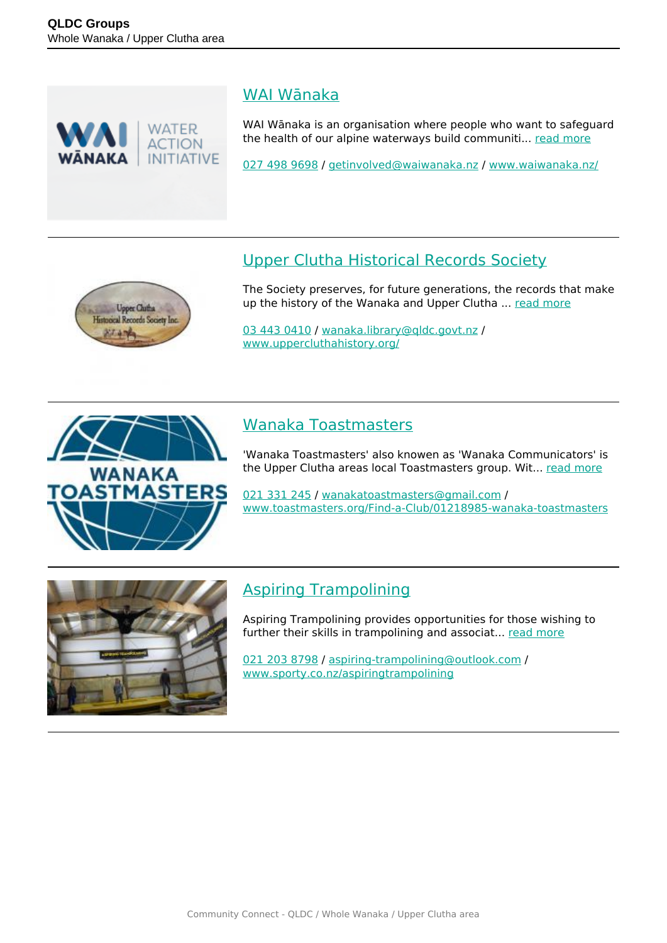

#### [WAI Wānaka](https://groups.qldc.govt.nz/groups/show/wai-wanaka/)

WAI Wānaka is an organisation where people who want to safeguard the health of our alpine waterways build communiti... [read more](https://groups.qldc.govt.nz/groups/show/wai-wanaka/)

[027 498 9698](tel:0274989698) / [getinvolved@waiwanaka.nz](mailto:getinvolved@waiwanaka.nz) / [www.waiwanaka.nz/](https://www.waiwanaka.nz/)

# [Upper Clutha Historical Records Society](https://groups.qldc.govt.nz/groups/show/upper-clutha-historical-records-society/)

The Society preserves, for future generations, the records that make up the history of the Wanaka and Upper Clutha ... [read more](https://groups.qldc.govt.nz/groups/show/upper-clutha-historical-records-society/)

[03 443 0410](tel:034430410) / [wanaka.library@qldc.govt.nz](mailto:wanaka.library@qldc.govt.nz) / [www.uppercluthahistory.org/](http://www.uppercluthahistory.org/)



**Upper Chitha** Historical Records Society

# [Wanaka Toastmasters](https://groups.qldc.govt.nz/groups/show/wanaka-toastmasters/)

'Wanaka Toastmasters' also knowen as 'Wanaka Communicators' is the Upper Clutha areas local Toastmasters group. Wit... [read more](https://groups.qldc.govt.nz/groups/show/wanaka-toastmasters/)

[021 331 245](tel:021331245) / [wanakatoastmasters@gmail.com](mailto:wanakatoastmasters@gmail.com) / [www.toastmasters.org/Find-a-Club/01218985-wanaka-toastmasters](http://www.toastmasters.org/Find-a-Club/01218985-wanaka-toastmasters)



# [Aspiring Trampolining](https://groups.qldc.govt.nz/groups/show/aspiring-trampolining/)

Aspiring Trampolining provides opportunities for those wishing to further their skills in trampolining and associat... [read more](https://groups.qldc.govt.nz/groups/show/aspiring-trampolining/)

[021 203 8798](tel:0212038798) / [aspiring-trampolining@outlook.com](mailto:aspiring-trampolining@outlook.com) / [www.sporty.co.nz/aspiringtrampolining](https://www.sporty.co.nz/aspiringtrampolining)